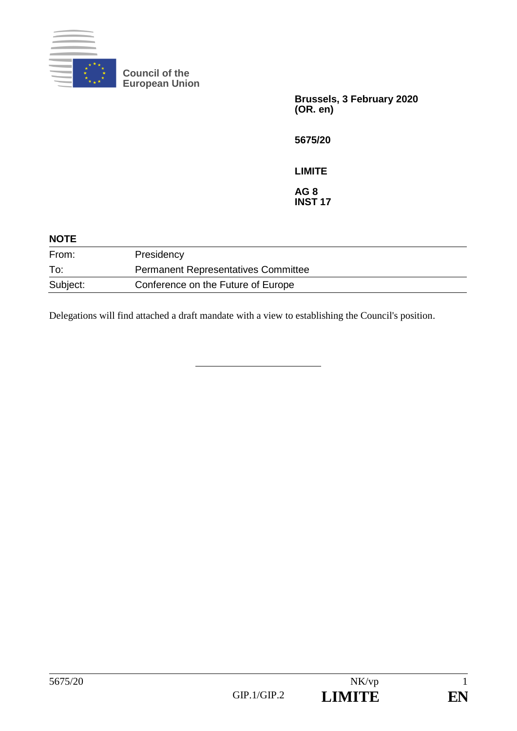

**Council of the European Union**

> **Brussels, 3 February 2020 (OR. en)**

**5675/20**

**LIMITE**

**AG 8 INST 17**

| <b>NOTE</b> |                                            |
|-------------|--------------------------------------------|
| From:       | Presidency                                 |
| To:         | <b>Permanent Representatives Committee</b> |
| Subject:    | Conference on the Future of Europe         |

Delegations will find attached a draft mandate with a view to establishing the Council's position.

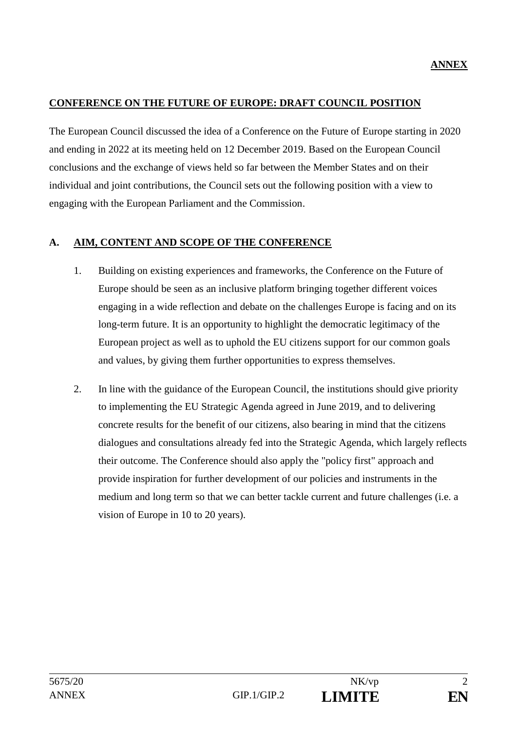#### **CONFERENCE ON THE FUTURE OF EUROPE: DRAFT COUNCIL POSITION**

The European Council discussed the idea of a Conference on the Future of Europe starting in 2020 and ending in 2022 at its meeting held on 12 December 2019. Based on the European Council conclusions and the exchange of views held so far between the Member States and on their individual and joint contributions, the Council sets out the following position with a view to engaging with the European Parliament and the Commission.

### **A. AIM, CONTENT AND SCOPE OF THE CONFERENCE**

- 1. Building on existing experiences and frameworks, the Conference on the Future of Europe should be seen as an inclusive platform bringing together different voices engaging in a wide reflection and debate on the challenges Europe is facing and on its long-term future. It is an opportunity to highlight the democratic legitimacy of the European project as well as to uphold the EU citizens support for our common goals and values, by giving them further opportunities to express themselves.
- 2. In line with the guidance of the European Council, the institutions should give priority to implementing the EU Strategic Agenda agreed in June 2019, and to delivering concrete results for the benefit of our citizens, also bearing in mind that the citizens dialogues and consultations already fed into the Strategic Agenda, which largely reflects their outcome. The Conference should also apply the "policy first" approach and provide inspiration for further development of our policies and instruments in the medium and long term so that we can better tackle current and future challenges (i.e. a vision of Europe in 10 to 20 years).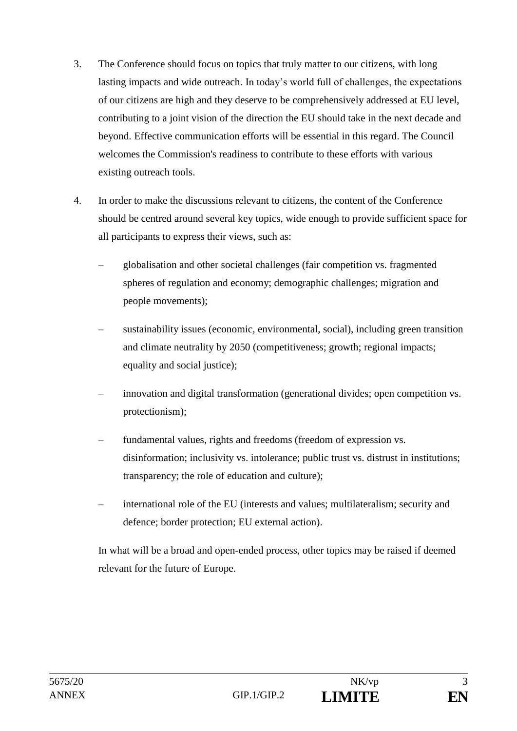- 3. The Conference should focus on topics that truly matter to our citizens, with long lasting impacts and wide outreach. In today's world full of challenges, the expectations of our citizens are high and they deserve to be comprehensively addressed at EU level, contributing to a joint vision of the direction the EU should take in the next decade and beyond. Effective communication efforts will be essential in this regard. The Council welcomes the Commission's readiness to contribute to these efforts with various existing outreach tools.
- 4. In order to make the discussions relevant to citizens, the content of the Conference should be centred around several key topics, wide enough to provide sufficient space for all participants to express their views, such as:
	- globalisation and other societal challenges (fair competition vs. fragmented spheres of regulation and economy; demographic challenges; migration and people movements);
	- sustainability issues (economic, environmental, social), including green transition and climate neutrality by 2050 (competitiveness; growth; regional impacts; equality and social justice);
	- innovation and digital transformation (generational divides; open competition vs. protectionism);
	- fundamental values, rights and freedoms (freedom of expression vs. disinformation; inclusivity vs. intolerance; public trust vs. distrust in institutions; transparency; the role of education and culture);
	- international role of the EU (interests and values; multilateralism; security and defence; border protection; EU external action).

In what will be a broad and open-ended process, other topics may be raised if deemed relevant for the future of Europe.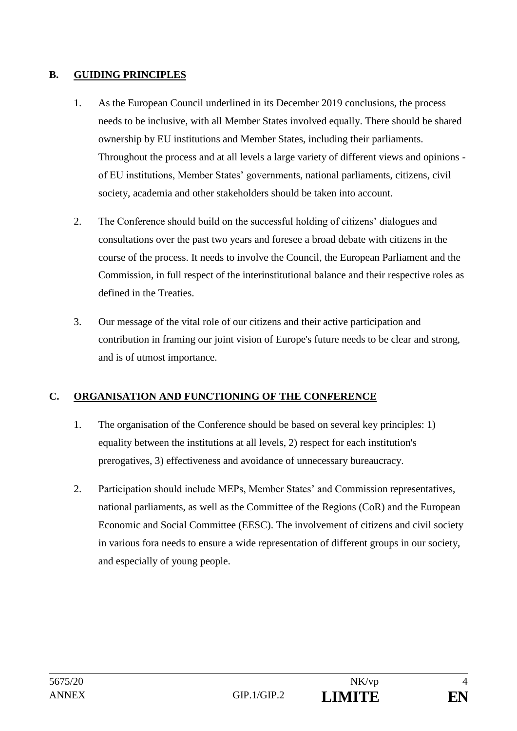## **B. GUIDING PRINCIPLES**

- 1. As the European Council underlined in its December 2019 conclusions, the process needs to be inclusive, with all Member States involved equally. There should be shared ownership by EU institutions and Member States, including their parliaments. Throughout the process and at all levels a large variety of different views and opinions of EU institutions, Member States' governments, national parliaments, citizens, civil society, academia and other stakeholders should be taken into account.
- 2. The Conference should build on the successful holding of citizens' dialogues and consultations over the past two years and foresee a broad debate with citizens in the course of the process. It needs to involve the Council, the European Parliament and the Commission, in full respect of the interinstitutional balance and their respective roles as defined in the Treaties.
- 3. Our message of the vital role of our citizens and their active participation and contribution in framing our joint vision of Europe's future needs to be clear and strong, and is of utmost importance.

# **C. ORGANISATION AND FUNCTIONING OF THE CONFERENCE**

- 1. The organisation of the Conference should be based on several key principles: 1) equality between the institutions at all levels, 2) respect for each institution's prerogatives, 3) effectiveness and avoidance of unnecessary bureaucracy.
- 2. Participation should include MEPs, Member States' and Commission representatives, national parliaments, as well as the Committee of the Regions (CoR) and the European Economic and Social Committee (EESC). The involvement of citizens and civil society in various fora needs to ensure a wide representation of different groups in our society, and especially of young people.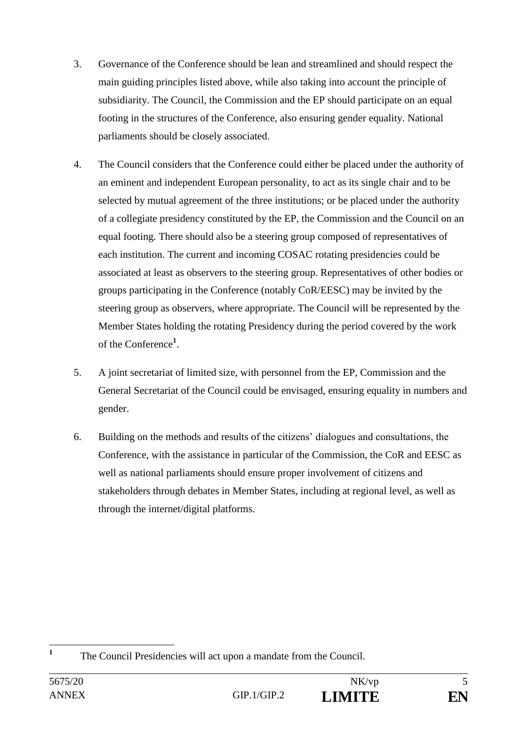- 3. Governance of the Conference should be lean and streamlined and should respect the main guiding principles listed above, while also taking into account the principle of subsidiarity. The Council, the Commission and the EP should participate on an equal footing in the structures of the Conference, also ensuring gender equality. National parliaments should be closely associated.
- 4. The Council considers that the Conference could either be placed under the authority of an eminent and independent European personality, to act as its single chair and to be selected by mutual agreement of the three institutions; or be placed under the authority of a collegiate presidency constituted by the EP, the Commission and the Council on an equal footing. There should also be a steering group composed of representatives of each institution. The current and incoming COSAC rotating presidencies could be associated at least as observers to the steering group. Representatives of other bodies or groups participating in the Conference (notably CoR/EESC) may be invited by the steering group as observers, where appropriate. The Council will be represented by the Member States holding the rotating Presidency during the period covered by the work of the Conference**<sup>1</sup>** .
- 5. A joint secretariat of limited size, with personnel from the EP, Commission and the General Secretariat of the Council could be envisaged, ensuring equality in numbers and gender.
- 6. Building on the methods and results of the citizens' dialogues and consultations, the Conference, with the assistance in particular of the Commission, the CoR and EESC as well as national parliaments should ensure proper involvement of citizens and stakeholders through debates in Member States, including at regional level, as well as through the internet/digital platforms.

 **1** The Council Presidencies will act upon a mandate from the Council.